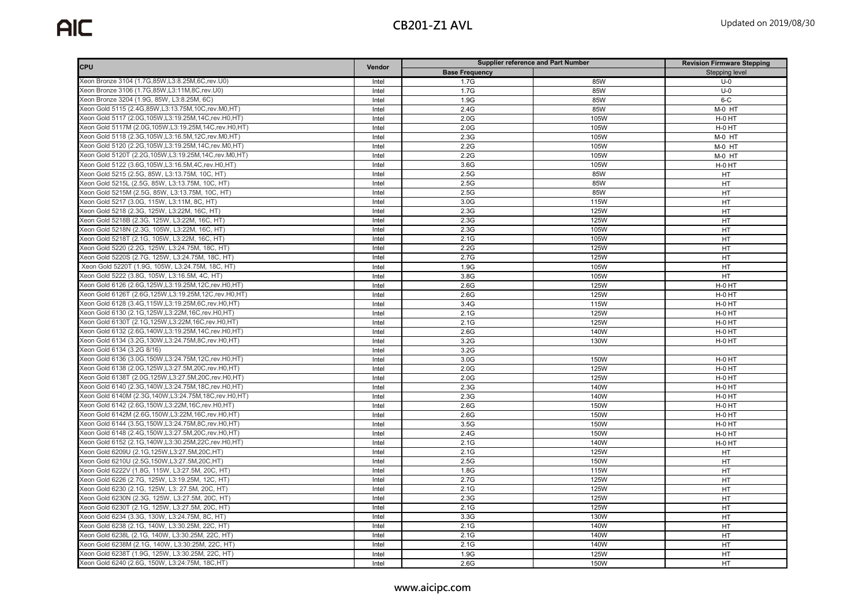| <b>CPU</b>                                                | Vendor | <b>Supplier reference and Part Number</b> |      | <b>Revision Firmware Stepping</b> |
|-----------------------------------------------------------|--------|-------------------------------------------|------|-----------------------------------|
|                                                           |        | <b>Base Frequency</b>                     |      | Stepping level                    |
| Xeon Bronze 3104 (1.7G,85W,L3:8.25M,6C,rev.U0)            | Intel  | 1.7G                                      | 85W  | $U-0$                             |
| Xeon Bronze 3106 (1.7G,85W,L3:11M,8C,rev.U0)              | Intel  | 1.7G                                      | 85W  | $U-0$                             |
| Xeon Bronze 3204 (1.9G, 85W, L3:8.25M, 6C)                | Intel  | 1.9G                                      | 85W  | $6 - C$                           |
| Xeon Gold 5115 (2.4G, 85W, L3:13.75M, 10C, rev. M0, HT)   | Intel  | 2.4G                                      | 85W  | M-0 HT                            |
| Xeon Gold 5117 (2.0G, 105W, L3:19.25M, 14C, rev. H0, HT)  | Intel  | 2.0G                                      | 105W | H-0 HT                            |
| Xeon Gold 5117M (2.0G, 105W, L3:19.25M, 14C, rev. H0, HT) | Intel  | 2.0G                                      | 105W | H-0 HT                            |
| Xeon Gold 5118 (2.3G, 105W, L3:16.5M, 12C, rev. M0, HT)   | Intel  | 2.3G                                      | 105W | M-0 HT                            |
| Xeon Gold 5120 (2.2G, 105W, L3:19.25M, 14C, rev. M0, HT)  | Intel  | 2.2G                                      | 105W | M-0 HT                            |
| Xeon Gold 5120T (2.2G, 105W, L3:19.25M, 14C, rev. M0, HT) | Intel  | 2.2G                                      | 105W | M-0 HT                            |
| Xeon Gold 5122 (3.6G, 105W, L3:16.5M, 4C, rev. H0, HT)    | Intel  | 3.6G                                      | 105W | H-0 HT                            |
| Xeon Gold 5215 (2.5G, 85W, L3:13.75M, 10C, HT)            | Intel  | 2.5G                                      | 85W  | HT                                |
| Xeon Gold 5215L (2.5G, 85W, L3:13.75M, 10C, HT)           | Intel  | 2.5G                                      | 85W  | HT                                |
| Xeon Gold 5215M (2.5G, 85W, L3:13.75M, 10C, HT)           | Intel  | 2.5G                                      | 85W  | HT                                |
| Xeon Gold 5217 (3.0G, 115W, L3:11M, 8C, HT)               | Intel  | 3.0G                                      | 115W | HT                                |
| Xeon Gold 5218 (2.3G, 125W, L3:22M, 16C, HT)              | Intel  | 2.3G                                      | 125W | HT                                |
| Xeon Gold 5218B (2.3G, 125W, L3:22M, 16C, HT)             | Intel  | 2.3G                                      | 125W | HT                                |
| Xeon Gold 5218N (2.3G, 105W, L3:22M, 16C, HT)             | Intel  | 2.3G                                      | 105W | HT                                |
| Xeon Gold 5218T (2.1G, 105W, L3:22M, 16C, HT)             | Intel  | 2.1G                                      | 105W | HT                                |
| Xeon Gold 5220 (2.2G, 125W, L3:24.75M, 18C, HT)           | Intel  | 2.2G                                      | 125W | HT                                |
| Xeon Gold 5220S (2.7G, 125W, L3:24.75M, 18C, HT)          | Intel  | 2.7G                                      | 125W | HT                                |
| Xeon Gold 5220T (1.9G, 105W, L3:24.75M, 18C, HT)          | Intel  | 1.9G                                      | 105W | HT                                |
| Xeon Gold 5222 (3.8G, 105W, L3:16.5M, 4C, HT)             | Intel  | 3.8G                                      | 105W | HT                                |
| Xeon Gold 6126 (2.6G, 125W, L3:19.25M, 12C, rev. H0, HT)  | Intel  | 2.6G                                      | 125W | H-0 HT                            |
| Xeon Gold 6126T (2.6G, 125W, L3:19.25M, 12C, rev. H0, HT) | Intel  | 2.6G                                      | 125W | H-0 HT                            |
| Xeon Gold 6128 (3.4G, 115W, L3:19.25M, 6C, rev. H0, HT)   | Intel  | 3.4G                                      | 115W | H-0 HT                            |
| Xeon Gold 6130 (2.1G, 125W, L3:22M, 16C, rev. H0, HT)     | Intel  | 2.1G                                      | 125W | H-0 HT                            |
| Xeon Gold 6130T (2.1G, 125W, L3:22M, 16C, rev. H0, HT)    | Intel  | 2.1G                                      | 125W | H-0 HT                            |
| Xeon Gold 6132 (2.6G, 140W, L3:19.25M, 14C, rev. H0, HT)  | Intel  | 2.6G                                      | 140W | H-0 HT                            |
| Xeon Gold 6134 (3.2G, 130W, L3:24.75M, 8C, rev. H0, HT)   | Intel  | 3.2G                                      | 130W | H-0 HT                            |
| Xeon Gold 6134 (3.2G 8/16)                                | Intel  | 3.2G                                      |      |                                   |
| Xeon Gold 6136 (3.0G, 150W, L3:24.75M, 12C, rev. H0, HT)  | Intel  | 3.0G                                      | 150W | H-0 HT                            |
| Xeon Gold 6138 (2.0G, 125W, L3:27.5M, 20C, rev. H0, HT)   | Intel  | 2.0G                                      | 125W | H-0 HT                            |
| Xeon Gold 6138T (2.0G, 125W, L3:27.5M, 20C, rev. H0, HT)  | Intel  | 2.0G                                      | 125W | H-0 HT                            |
| Xeon Gold 6140 (2.3G, 140W, L3:24.75M, 18C, rev. H0, HT)  | Intel  | 2.3G                                      | 140W | H-0 HT                            |
| Xeon Gold 6140M (2.3G, 140W, L3:24.75M, 18C, rev. H0, HT) | Intel  | 2.3G                                      | 140W | H-0 HT                            |
| Xeon Gold 6142 (2.6G, 150W, L3:22M, 16C, rev. H0, HT)     | Intel  | 2.6G                                      | 150W | H-0 HT                            |
| Xeon Gold 6142M (2.6G, 150W, L3:22M, 16C, rev. H0, HT)    | Intel  | 2.6G                                      | 150W | H-0 HT                            |
| Xeon Gold 6144 (3.5G, 150W, L3:24.75M, 8C, rev. H0, HT)   | Intel  | 3.5G                                      | 150W | H-0 HT                            |
| Xeon Gold 6148 (2.4G, 150W, L3:27.5M, 20C, rev. H0, HT)   | Intel  | 2.4G                                      | 150W | H-0 HT                            |
| Xeon Gold 6152 (2.1G, 140W, L3:30.25M, 22C, rev. H0, HT)  | Intel  | 2.1G                                      | 140W | H-0 HT                            |
| Xeon Gold 6209U (2.1G, 125W, L3:27.5M, 20C, HT)           | Intel  | 2.1G                                      | 125W | HT                                |
| Xeon Gold 6210U (2.5G, 150W, L3:27.5M, 20C, HT)           | Intel  | 2.5G                                      | 150W | HT                                |
| Xeon Gold 6222V (1.8G, 115W, L3:27.5M, 20C, HT)           | Intel  | 1.8G                                      | 115W | HT                                |
| Xeon Gold 6226 (2.7G, 125W, L3:19.25M, 12C, HT)           | Intel  | 2.7G                                      | 125W | HT                                |
| Xeon Gold 6230 (2.1G, 125W, L3: 27.5M, 20C, HT)           | Intel  | 2.1G                                      | 125W | HT                                |
| Xeon Gold 6230N (2.3G, 125W, L3:27.5M, 20C, HT)           | Intel  | 2.3G                                      | 125W | HT                                |
| Xeon Gold 6230T (2.1G, 125W, L3:27.5M, 20C, HT)           | Intel  | 2.1G                                      | 125W | HT                                |
| Xeon Gold 6234 (3.3G, 130W, L3:24.75M, 8C, HT)            | Intel  | 3.3G                                      | 130W | HT                                |
| Xeon Gold 6238 (2.1G, 140W, L3:30.25M, 22C, HT)           | Intel  | 2.1G                                      | 140W | HT                                |
| Xeon Gold 6238L (2.1G, 140W, L3:30.25M, 22C, HT)          | Intel  | 2.1G                                      | 140W | HT                                |
| Xeon Gold 6238M (2.1G, 140W, L3:30:25M, 22C, HT)          | Intel  | 2.1G                                      | 140W | HT                                |
| Xeon Gold 6238T (1.9G, 125W, L3:30.25M, 22C, HT)          | Intel  | 1.9G                                      | 125W | HT                                |
| Xeon Gold 6240 (2.6G, 150W, L3:24:75M, 18C, HT)           | Intel  | 2.6G                                      | 150W | HT                                |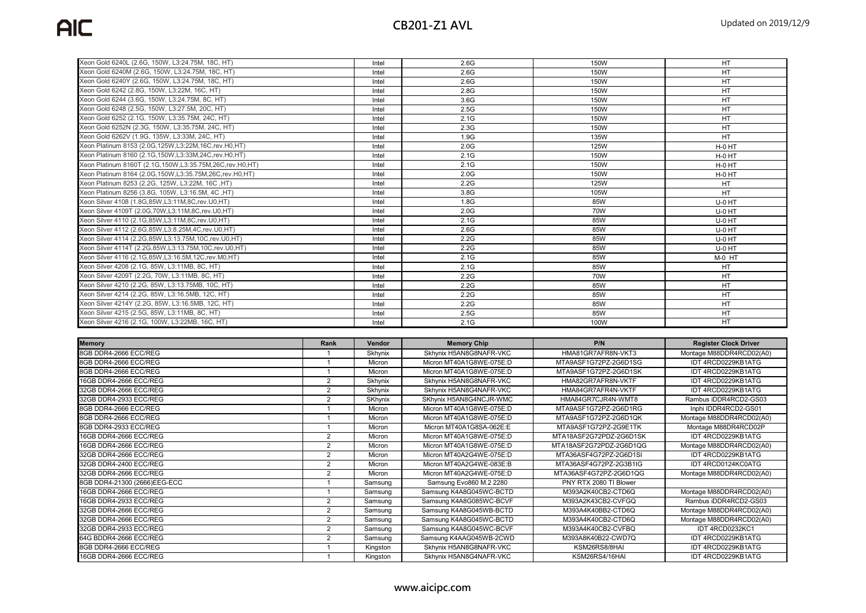| Xeon Gold 6240L (2.6G, 150W, L3:24.75M, 18C, HT)              | Intel | 2.6G | 150W        | <b>HT</b>       |
|---------------------------------------------------------------|-------|------|-------------|-----------------|
| Xeon Gold 6240M (2.6G, 150W, L3:24.75M, 18C, HT)              | Intel | 2.6G | 150W        | <b>HT</b>       |
| Xeon Gold 6240Y (2.6G, 150W, L3:24.75M, 18C, HT)              | Intel | 2.6G | 150W        | <b>HT</b>       |
| Xeon Gold 6242 (2.8G, 150W, L3:22M, 16C, HT)                  | Intel | 2.8G | 150W        | <b>HT</b>       |
| Xeon Gold 6244 (3.6G, 150W, L3:24.75M, 8C, HT)                | Intel | 3.6G | 150W        | HT              |
| Xeon Gold 6248 (2.5G, 150W, L3:27.5M, 20C, HT)                | Intel | 2.5G | 150W        | HT              |
| Xeon Gold 6252 (2.1G, 150W, L3:35.75M, 24C, HT)               | Intel | 2.1G | 150W        | HT              |
| Xeon Gold 6252N (2.3G, 150W, L3:35.75M, 24C, HT)              | Intel | 2.3G | <b>150W</b> | <b>HT</b>       |
| Xeon Gold 6262V (1.9G, 135W, L3:33M, 24C, HT)                 | Intel | 1.9G | 135W        | <b>HT</b>       |
| Xeon Platinum 8153 (2.0G, 125W, L3:22M, 16C, rev. H0, HT)     | Intel | 2.0G | <b>125W</b> | H-0 HT          |
| Xeon Platinum 8160 (2.1G, 150W, L3:33M, 24C, rev. H0, HT)     | Intel | 2.1G | 150W        | H-0 HT          |
| Xeon Platinum 8160T (2.1G, 150W, L3:35.75M, 26C, rev. H0, HT) | Intel | 2.1G | 150W        | H-0 HT          |
| Xeon Platinum 8164 (2.0G, 150W, L3:35.75M, 26C, rev. H0, HT)  | Intel | 2.0G | 150W        | H-0 HT          |
| Xeon Platinum 8253 (2.2G, 125W, L3:22M, 16C, HT)              | Intel | 2.2G | <b>125W</b> | <b>HT</b>       |
| Xeon Platinum 8256 (3.8G, 105W, L3:16.5M, 4C, HT)             | Intel | 3.8G | 105W        | HT              |
| Xeon Silver 4108 (1.8G, 85W, L3:11M, 8C, rev, U0, HT)         | Intel | 1.8G | 85W         | U-0 HT          |
| Xeon Silver 4109T (2.0G, 70W, L3:11M, 8C, rev. U0, HT)        | Intel | 2.0G | 70W         | U-0 HT          |
| Xeon Silver 4110 (2.1G, 85W, L3:11M, 8C, rev. U0, HT)         | Intel | 2.1G | 85W         | U-0 HT          |
| Xeon Silver 4112 (2.6G, 85W, L3:8.25M, 4C, rev. U0, HT)       | Intel | 2.6G | 85W         | U-0 HT          |
| Xeon Silver 4114 (2.2G, 85W, L3:13.75M, 10C, rev. U0, HT)     | Intel | 2.2G | 85W         | U-0 HT          |
| Xeon Silver 4114T (2.2G, 85W, L3:13.75M, 10C, rev. U0, HT)    | Intel | 2.2G | 85W         | U-0 HT          |
| Xeon Silver 4116 (2.1G, 85W, L3:16.5M, 12C, rev. M0, HT)      | Intel | 2.1G | 85W         | M-0 HT          |
| Xeon Silver 4208 (2.1G, 85W, L3:11MB, 8C, HT)                 | Intel | 2.1G | 85W         | HT              |
| Xeon Silver 4209T (2.2G, 70W, L3:11MB, 8C, HT)                | Intel | 2.2G | 70W         | <b>HT</b>       |
| Xeon Silver 4210 (2.2G, 85W, L3:13.75MB, 10C, HT)             | Intel | 2.2G | 85W         | <b>HT</b>       |
| Xeon Silver 4214 (2.2G, 85W, L3:16.5MB, 12C, HT)              | Intel | 2.2G | 85W         | HT              |
| Xeon Silver 4214Y (2.2G, 85W, L3:16.5MB, 12C, HT)             | Intel | 2.2G | 85W         | HT              |
| Xeon Silver 4215 (2.5G, 85W, L3:11MB, 8C, HT)                 | Intel | 2.5G | 85W         | HT              |
| Xeon Silver 4216 (2.1G, 100W, L3:22MB, 16C, HT)               | Intel | 2.1G | 100W        | $\overline{HT}$ |

| <b>Memory</b>                | Rank           | Vendor         | <b>Memory Chip</b>       | P/N                     | <b>Register Clock Driver</b> |
|------------------------------|----------------|----------------|--------------------------|-------------------------|------------------------------|
| 8GB DDR4-2666 ECC/REG        |                | Skhynix        | Skhynix H5AN8G8NAFR-VKC  | HMA81GR7AFR8N-VKT3      | Montage M88DDR4RCD02(A0)     |
| 8GB DDR4-2666 ECC/REG        |                | Micron         | Micron MT40A1G8WE-075E:D | MTA9ASF1G72PZ-2G6D1SG   | IDT 4RCD0229KB1ATG           |
| 8GB DDR4-2666 ECC/REG        |                | Micron         | Micron MT40A1G8WE-075E:D | MTA9ASF1G72PZ-2G6D1SK   | IDT 4RCD0229KB1ATG           |
| 16GB DDR4-2666 ECC/REG       | 2              | Skhynix        | Skhynix H5AN8G8NAFR-VKC  | HMA82GR7AFR8N-VKTF      | IDT 4RCD0229KB1ATG           |
| 32GB DDR4-2666 ECC/REG       | $\overline{2}$ | Skhynix        | Skhynix H5AN8G4NAFR-VKC  | HMA84GR7AFR4N-VKTF      | IDT 4RCD0229KB1ATG           |
| 32GB DDR4-2933 ECC/REG       | $\overline{2}$ | <b>SKhynix</b> | SKhynix H5AN8G4NCJR-WMC  | HMA84GR7CJR4N-WMT8      | Rambus iDDR4RCD2-GS03        |
| 8GB DDR4-2666 ECC/REG        |                | Micron         | Micron MT40A1G8WE-075E:D | MTA9ASF1G72PZ-2G6D1RG   | Inphi IDDR4RCD2-GS01         |
| 8GB DDR4-2666 ECC/REG        |                | Micron         | Micron MT40A1G8WE-075E:D | MTA9ASF1G72PZ-2G6D1QK   | Montage M88DDR4RCD02(A0)     |
| 8GB DDR4-2933 ECC/REG        |                | Micron         | Micron MT40A1G8SA-062E:E | MTA9ASF1G72PZ-2G9E1TK   | Montage M88DR4RCD02P         |
| 16GB DDR4-2666 ECC/REG       | $\overline{2}$ | Micron         | Micron MT40A1G8WE-075E:D | MTA18ASF2G72PDZ-2G6D1SK | IDT 4RCD0229KB1ATG           |
| 16GB DDR4-2666 ECC/REG       | 2              | Micron         | Micron MT40A1G8WE-075E:D | MTA18ASF2G72PDZ-2G6D1QG | Montage M88DDR4RCD02(A0)     |
| 32GB DDR4-2666 ECC/REG       | $\overline{2}$ | Micron         | Micron MT40A2G4WE-075E:D | MTA36ASF4G72PZ-2G6D1SI  | IDT 4RCD0229KB1ATG           |
| 32GB DDR4-2400 ECC/REG       | $\overline{2}$ | Micron         | Micron MT40A2G4WE-083E:B | MTA36ASF4G72PZ-2G3B1IG  | IDT 4RCD0124KC0ATG           |
| 32GB DDR4-2666 ECC/REG       | 2              | Micron         | Micron MT40A2G4WE-075E:D | MTA36ASF4G72PZ-2G6D1QG  | Montage M88DDR4RCD02(A0)     |
| 8GB DDR4-21300 (2666)EEG-ECC |                | Samsung        | Samsung Evo860 M.2 2280  | PNY RTX 2080 TI Blower  |                              |
| 16GB DDR4-2666 ECC/REG       |                | Samsung        | Samsung K4A8G045WC-BCTD  | M393A2K40CB2-CTD6Q      | Montage M88DDR4RCD02(A0)     |
| 16GB DDR4-2933 ECC/REG       | 2              | Samsung        | Samsung K4A8G085WC-BCVF  | M393A2K43CB2-CVFGQ      | Rambus iDDR4RCD2-GS03        |
| 32GB DDR4-2666 ECC/REG       | 2              | Samsung        | Samsung K4A8G045WB-BCTD  | M393A4K40BB2-CTD6Q      | Montage M88DDR4RCD02(A0)     |
| 32GB DDR4-2666 ECC/REG       | 2              | Samsung        | Samsung K4A8G045WC-BCTD  | M393A4K40CB2-CTD6Q      | Montage M88DDR4RCD02(A0)     |
| 32GB DDR4-2933 ECC/REG       | $\overline{2}$ | Samsung        | Samsung K4A8G045WC-BCVF  | M393A4K40CB2-CVFBQ      | IDT 4RCD0232KC1              |
| 64G BDDR4-2666 ECC/REG       | 2              | Samsung        | Samsung K4AAG045WB-2CWD  | M393A8K40B22-CWD7Q      | IDT 4RCD0229KB1ATG           |
| 8GB DDR4-2666 ECC/REG        |                | Kingston       | Skhynix H5AN8G8NAFR-VKC  | KSM26RS8/8HAI           | IDT 4RCD0229KB1ATG           |
| 16GB DDR4-2666 ECC/REG       |                | Kingston       | Skhynix H5AN8G4NAFR-VKC  | KSM26RS4/16HAI          | IDT 4RCD0229KB1ATG           |